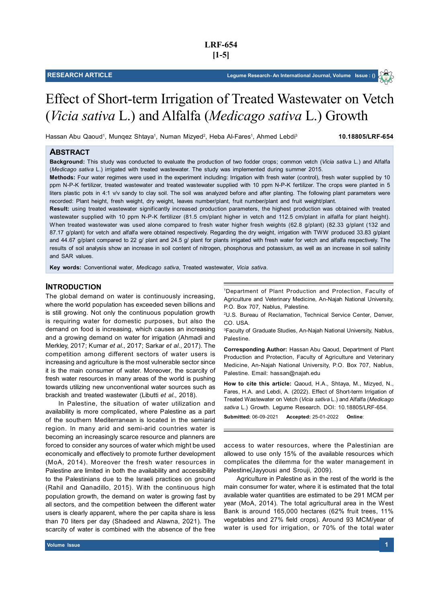# Effect of Short-term Irrigation of Treated Wastewater on Vetch (*Vicia sativa* L.) and Alfalfa (*Medicago sativa* L.) Growth

Hassan Abu Qaoud1, Munqez Shtaya<sup>1</sup>, Numan Mizyed<sup>2</sup>, Heba Al-Fares<sup>1</sup>, Ahmed Lebdi<sup>3</sup>

 **10.18805/LRF-654**

# **ABSTRACT**

**Background:** This study was conducted to evaluate the production of two fodder crops; common vetch (*Vicia sativa* L.) and Alfalfa (*Medicago sativa* L.) irrigated with treated wastewater. The study was implemented during summer 2015.

**Methods:** Four water regimes were used in the experiment including: Irrigation with fresh water (control), fresh water supplied by 10 ppm N-P-K fertilizer, treated wastewater and treated wastewater supplied with 10 ppm N-P-K fertilizer. The crops were planted in 5 liters plastic pots in 4:1 v/v sandy to clay soil. The soil was analyzed before and after planting. The following plant parameters were recorded: Plant height, fresh weight, dry weight, leaves number/plant, fruit number/plant and fruit weight/plant.

**Result:** using treated wastewater significantly increased production parameters, the highest production was obtained with treated wastewater supplied with 10 ppm N-P-K fertilizer (81.5 cm/plant higher in vetch and 112.5 cm/plant in alfalfa for plant height). When treated wastewater was used alone compared to fresh water higher fresh weights (62.8 g/plant) (82.33 g/plant (132 and 87.17 g/plant) for vetch and alfalfa were obtained respectively. Regarding the dry weight, irrigation with TWW produced 33.83 g/plant and 44.67 g/plant compared to 22 g/ plant and 24.5 g/ plant for plants irrigated with fresh water for vetch and alfalfa respectively. The results of soil analysis show an increase in soil content of nitrogen, phosphorus and potassium, as well as an increase in soil salinity and SAR values.

**Key words:** Conventional water, *Medicago sativa*, Treated wastewater, *Vicia sativa*.

## **INTRODUCTION**

The global demand on water is continuously increasing, where the world population has exceeded seven billions and is still growing. Not only the continuous population growth is requiring water for domestic purposes, but also the demand on food is increasing, which causes an increasing and a growing demand on water for irrigation (Ahmadi and Merkley, 2017; Kumar *et al*., 2017; Sarkar *et al*., 2017). The competition among different sectors of water users is increasing and agriculture is the most vulnerable sector since it is the main consumer of water. Moreover, the scarcity of fresh water resources in many areas of the world is pushing towards utilizing new unconventional water sources such as brackish and treated wastewater (Libutti *et al*., 2018).

In Palestine, the situation of water utilization and availability is more complicated, where Palestine as a part of the southern Mediterranean is located in the semiarid region. In many arid and semi-arid countries water is becoming an increasingly scarce resource and planners are forced to consider any sources of water which might be used economically and effectively to promote further development (MoA, 2014). Moreover the fresh water resources in Palestine are limited in both the availability and accessibility to the Palestinians due to the Israeli practices on ground (Rahil and Qanadillo, 2015). With the continuous high population growth, the demand on water is growing fast by all sectors, and the competition between the different water users is clearly apparent, where the per capita share is less than 70 liters per day (Shadeed and Alawna, 2021). The scarcity of water is combined with the absence of the free <sup>1</sup>Department of Plant Production and Protection, Faculty of Agriculture and Veterinary Medicine, An-Najah National University, P.O. Box 707, Nablus, Palestine.

<sup>2</sup>U.S. Bureau of Reclamation, Technical Service Center, Denver, CO. USA.

<sup>3</sup>Faculty of Graduate Studies, An-Najah National University, Nablus, Palestine.

**Corresponding Author:** Hassan Abu Qaoud, Department of Plant Production and Protection, Faculty of Agriculture and Veterinary Medicine, An-Najah National University, P.O. Box 707, Nablus, Palestine. Email: hassan@najah.edu

**How to cite this article:** Qaoud, H.A., Shtaya, M., Mizyed, N., Fares, H.A. and Lebdi, A. (2022). Effect of Short-term Irrigation of Treated Wastewater on Vetch (*Vicia sativa* L.) and Alfalfa (*Medicago sativa* L.) Growth. Legume Research. DOI: 10.18805/LRF-654.

**Submitted:** 06-09-2021 **Accepted:** 25-01-2022 **Online**:

access to water resources, where the Palestinian are allowed to use only 15% of the available resources which complicates the dilemma for the water management in Palestine(Jayyousi and Srouji, 2009).

Agriculture in Palestine as in the rest of the world is the main consumer for water, where it is estimated that the total available water quantities are estimated to be 291 MCM per year (MoA, 2014). The total agricultural area in the West Bank is around 165,000 hectares (62% fruit trees, 11% vegetables and 27% field crops). Around 93 MCM/year of water is used for irrigation, or 70% of the total water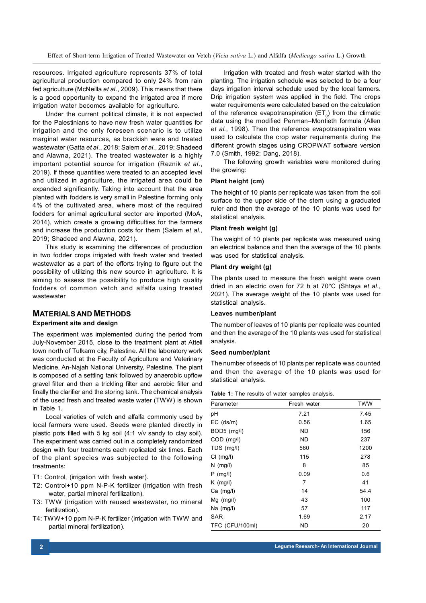Effect of Short-term Irrigation of Treated Wastewater on Vetch (*Vicia sativa* L.) and Alfalfa (*Medicago sativa* L.) Growth

resources. Irrigated agriculture represents 37% of total agricultural production compared to only 24% from rain fed agriculture (McNeilla *et al*., 2009). This means that there is a good opportunity to expand the irrigated area if more irrigation water becomes available for agriculture.

Under the current political climate, it is not expected for the Palestinians to have new fresh water quantities for irrigation and the only foreseen scenario is to utilize marginal water resources, as brackish ware and treated wastewater (Gatta *et al*., 2018; Salem *et al*., 2019; Shadeed and Alawna, 2021). The treated wastewater is a highly important potential source for irrigation (Reznik *et al*., 2019). If these quantities were treated to an accepted level and utilized in agriculture, the irrigated area could be expanded significantly. Taking into account that the area planted with fodders is very small in Palestine forming only 4% of the cultivated area, where most of the required fodders for animal agricultural sector are imported (MoA, 2014), which create a growing difficulties for the farmers and increase the production costs for them (Salem *et al.*, 2019; Shadeed and Alawna, 2021).

This study is examining the differences of production in two fodder crops irrigated with fresh water and treated wastewater as a part of the efforts trying to figure out the possibility of utilizing this new source in agriculture. It is aiming to assess the possibility to produce high quality fodders of common vetch and alfalfa using treated wastewater

## **MATERIALS AND METHODS**

## **Experiment site and design**

The experiment was implemented during the period from July-November 2015, close to the treatment plant at Attell town north of Tulkarm city, Palestine. All the laboratory work was conducted at the Faculty of Agriculture and Veterinary Medicine, An-Najah National University, Palestine. The plant is composed of a settling tank followed by anaerobic upflow gravel filter and then a trickling filter and aerobic filter and finally the clarifier and the storing tank. The chemical analysis of the used fresh and treated waste water (TWW) is shown in Table 1.

Local varieties of vetch and alfalfa commonly used by local farmers were used. Seeds were planted directly in plastic pots filled with 5 kg soil (4:1 v/v sandy to clay soil). The experiment was carried out in a completely randomized design with four treatments each replicated six times. Each of the plant species was subjected to the following treatments:

- T1: Control, (irrigation with fresh water).
- T2: Control+10 ppm N-P-K fertilizer (irrigation with fresh water, partial mineral fertilization).
- T3: TWW (irrigation with reused wastewater, no mineral fertilization).
- T4: TWW+10 ppm N-P-K fertilizer (irrigation with TWW and partial mineral fertilization).

Irrigation with treated and fresh water started with the planting. The irrigation schedule was selected to be a four days irrigation interval schedule used by the local farmers. Drip irrigation system was applied in the field. The crops water requirements were calculated based on the calculation of the reference evapotranspiration (ET $_{\rm o}$ ) from the climatic data using the modified Penman–Montieth formula (Allen *et al.*, 1998). Then the reference evapotranspiration was used to calculate the crop water requirements during the different growth stages using CROPWAT software version 7.0 (Smith, 1992; Dang, 2018).

The following growth variables were monitored during the growing:

#### **Plant height (cm)**

The height of 10 plants per replicate was taken from the soil surface to the upper side of the stem using a graduated ruler and then the average of the 10 plants was used for statistical analysis.

#### **Plant fresh weight (g)**

The weight of 10 plants per replicate was measured using an electrical balance and then the average of the 10 plants was used for statistical analysis.

#### **Plant dry weight (g)**

The plants used to measure the fresh weight were oven dried in an electric oven for 72 h at 70°C (Shtaya *et al.*, 2021). The average weight of the 10 plants was used for statistical analysis.

### **Leaves number/plant**

The number of leaves of 10 plants per replicate was counted and then the average of the 10 plants was used for statistical analysis.

#### **Seed number/plant**

The number of seeds of 10 plants per replicate was counted and then the average of the 10 plants was used for statistical analysis.

**Table 1:** The results of water samples analysis.

| Parameter       | Fresh water | <b>TWW</b> |  |
|-----------------|-------------|------------|--|
| pH              | 7.21        | 7.45       |  |
| $EC$ (ds/m)     | 0.56        | 1.65       |  |
| BOD5 (mg/l)     | <b>ND</b>   | 156        |  |
| COD (mg/l)      | ND          | 237        |  |
| TDS (mg/l)      | 560         | 1200       |  |
| Cl (mg/l)       | 115         | 278        |  |
| $N$ (mg/l)      | 8           | 85         |  |
| $P$ (mg/l)      | 0.09        | 0.6        |  |
| $K$ (mg/l)      | 7           | 41         |  |
| $Ca$ (mg/l)     | 14          | 54.4       |  |
| $Mg$ (mg/l)     | 43          | 100        |  |
| Na $(mg/l)$     | 57          | 117        |  |
| <b>SAR</b>      | 1.69        | 2.17       |  |
| TFC (CFU/100ml) | ND          | 20         |  |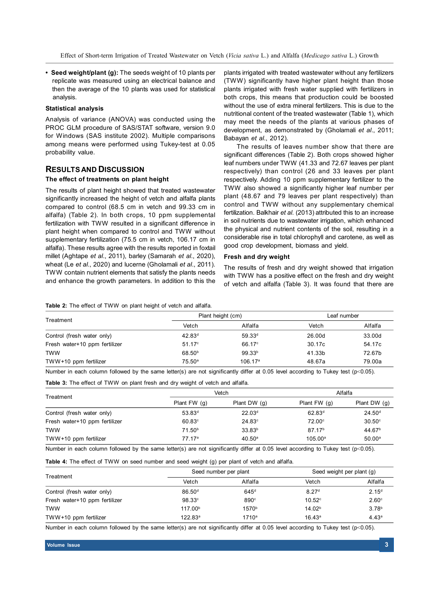**• Seed weight/plant (g):** The seeds weight of 10 plants per replicate was measured using an electrical balance and then the average of the 10 plants was used for statistical analysis.

#### **Statistical analysis**

Analysis of variance (ANOVA) was conducted using the PROC GLM procedure of SAS/STAT software, version 9.0 for Windows (SAS institute 2002). Multiple comparisons among means were performed using Tukey-test at 0.05 probability value.

## **RESULTS AND DISCUSSION**

#### **The effect of treatments on plant height**

The results of plant height showed that treated wastewater significantly increased the height of vetch and alfalfa plants compared to control (68.5 cm in vetch and 99.33 cm in alfalfa) (Table 2). In both crops, 10 ppm supplemental fertilization with TWW resulted in a significant difference in plant height when compared to control and TWW without supplementary fertilization (75.5 cm in vetch, 106.17 cm in alfalfa). These results agree with the results reported in foxtail millet (Aghtape *et al*., 2011), barley (Samarah *et al*., 2020), wheat (Le *et al*., 2020) and lucerne (Gholamali *et al*., 2011). TWW contain nutrient elements that satisfy the plants needs and enhance the growth parameters. In addition to this the

plants irrigated with treated wastewater without any fertilizers (TWW) significantly have higher plant height than those plants irrigated with fresh water supplied with fertilizers in both crops, this means that production could be boosted without the use of extra mineral fertilizers. This is due to the nutritional content of the treated wastewater (Table 1), which may meet the needs of the plants at various phases of development, as demonstrated by (Gholamali *et al*., 2011; Babayan *et al*., 2012).

The results of leaves number show that there are significant differences (Table 2). Both crops showed higher leaf numbers under TWW (41.33 and 72.67 leaves per plant respectively) than control (26 and 33 leaves per plant respectively. Adding 10 ppm supplementary fertilizer to the TWW also showed a significantly higher leaf number per plant (48.67 and 79 leaves per plant respectively) than control and TWW without any supplementary chemical fertilization. Balkhair *et al.* (2013) attributed this to an increase in soil nutrients due to wastewater irrigation, which enhanced the physical and nutrient contents of the soil, resulting in a considerable rise in total chlorophyll and carotene, as well as good crop development, biomass and yield.

## **Fresh and dry weight**

The results of fresh and dry weight showed that irrigation with TWW has a positive effect on the fresh and dry weight of vetch and alfalfa (Table 3). It was found that there are

**Table 2:** The effect of TWW on plant height of vetch and alfalfa.

| Treatment                     | Plant height (cm)  |                    | Leaf number |         |
|-------------------------------|--------------------|--------------------|-------------|---------|
|                               | Vetch              | Alfalfa            | Vetch       | Alfalfa |
| Control (fresh water only)    | 42.83 <sup>d</sup> | 59.33 <sup>d</sup> | 26.00d      | 33.00d  |
| Fresh water+10 ppm fertilizer | 51.17c             | 66.17°             | 30.17c      | 54.17c  |
| TWW                           | 68.50 <sup>b</sup> | 99.33 <sup>b</sup> | 41.33b      | 72.67b  |
| $TWW+10$ ppm fertilizer       | 75.50a             | 106.17a            | 48.67a      | 79.00a  |

Number in each column followed by the same letter(s) are not significantly differ at 0.05 level according to Tukey test (p<0.05).

**Table 3:** The effect of TWW on plant fresh and dry weight of vetch and alfalfa.

| Treatment                     |                    | Vetch              |                    | Alfalfa            |  |
|-------------------------------|--------------------|--------------------|--------------------|--------------------|--|
|                               | Plant $FW(g)$      | Plant DW $(q)$     | Plant FW (g)       | Plant DW $(g)$     |  |
| Control (fresh water only)    | 53.83 <sup>d</sup> | 22.03 <sup>d</sup> | 62.83 <sup>d</sup> | 24.50 <sup>d</sup> |  |
| Fresh water+10 ppm fertilizer | $60.83^\circ$      | 24.83c             | 72.00°             | $30.50^\circ$      |  |
| <b>TWW</b>                    | 71.50 <sup>b</sup> | 33.83 <sup>b</sup> | 87.17 <sup>b</sup> | 44.67 <sup>b</sup> |  |
| $TWW+10$ ppm fertilizer       | 77.17ª             | 40.50 <sup>a</sup> | $105.00^{\circ}$   | $50.00^{\circ}$    |  |

Number in each column followed by the same letter(s) are not significantly differ at 0.05 level according to Tukey test (p<0.05).

**Table 4:** The effect of TWW on seed number and seed weight (g) per plant of vetch and alfalfa.

| Treatment                     | Seed number per plant |                   | Seed weight per plant (g) |                   |
|-------------------------------|-----------------------|-------------------|---------------------------|-------------------|
|                               | Vetch                 | Alfalfa           | Vetch                     | Alfalfa           |
| Control (fresh water only)    | 86.50 <sup>d</sup>    | 645 <sup>d</sup>  | 8.27 <sup>d</sup>         | 2.15 <sup>d</sup> |
| Fresh water+10 ppm fertilizer | 98.33c                | 890 <sup>c</sup>  | $10.52^\circ$             | 2.60 <sup>c</sup> |
| <b>TWW</b>                    | 117.00 <sup>b</sup>   | 1570 <sup>b</sup> | 14.02 <sup>b</sup>        | 3.78 <sup>b</sup> |
| $TWW+10$ ppm fertilizer       | 122.83a               | $1710^a$          | $16.43^{\circ}$           | 4.43a             |

Number in each column followed by the same letter(s) are not significantly differ at 0.05 level according to Tukey test (p<0.05).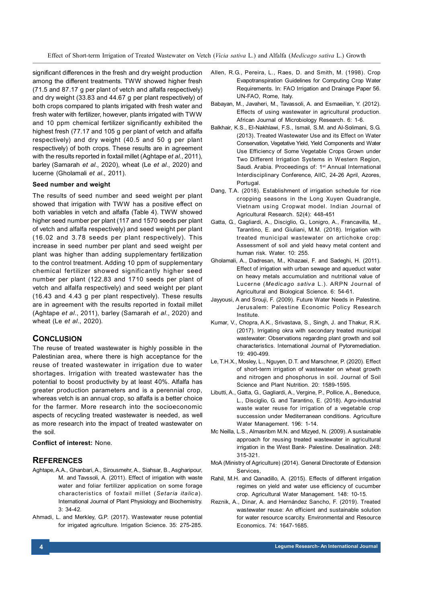Effect of Short-term Irrigation of Treated Wastewater on Vetch (*Vicia sativa* L.) and Alfalfa (*Medicago sativa* L.) Growth

significant differences in the fresh and dry weight production among the different treatments. TWW showed higher fresh (71.5 and 87.17 g per plant of vetch and alfalfa respectively) and dry weight (33.83 and 44.67 g per plant respectively) of both crops compared to plants irrigated with fresh water and fresh water with fertilizer, however, plants irrigated with TWW and 10 ppm chemical fertilizer significantly exhibited the highest fresh (77.17 and 105 g per plant of vetch and alfalfa respectively) and dry weight (40.5 and 50 g per plant respectively) of both crops. These results are in agreement with the results reported in foxtail millet (Aghtape *et al*., 2011), barley (Samarah *et al*., 2020), wheat (Le *et al*., 2020) and lucerne (Gholamali *et al*., 2011).

## **Seed number and weight**

The results of seed number and seed weight per plant showed that irrigation with TWW has a positive effect on both variables in vetch and alfalfa (Table 4). TWW showed higher seed number per plant (117 and 1570 seeds per plant of vetch and alfalfa respectively) and seed weight per plant (16.02 and 3.78 seeds per plant respectively). This increase in seed number per plant and seed weight per plant was higher than adding supplementary fertilization to the control treatment. Adding 10 ppm of supplementary chemical fertilizer showed significantly higher seed number per plant (122.83 and 1710 seeds per plant of vetch and alfalfa respectively) and seed weight per plant (16.43 and 4.43 g per plant respectively). These results are in agreement with the results reported in foxtail millet (Aghtape *et al*., 2011), barley (Samarah *et al*., 2020) and wheat (Le *et al*., 2020).

## **CONCLUSION**

The reuse of treated wastewater is highly possible in the Palestinian area, where there is high acceptance for the reuse of treated wastewater in irrigation due to water shortages. Irrigation with treated wastewater has the potential to boost productivity by at least 40%. Alfalfa has greater production parameters and is a perennial crop, whereas vetch is an annual crop, so alfalfa is a better choice for the farmer. More research into the socioeconomic aspects of recycling treated wastewater is needed, as well as more research into the impact of treated wastewater on the soil.

## **Conflict of interest:** None.

## **REFERENCES**

- Aghtape, A.A., Ghanbari, A., Sirousmehr, A., Siahsar, B., Asgharipour, M. and Tavssoli, A. (2011). Effect of irrigation with waste water and foliar fertilizer application on some forage characteristics of foxtail millet (*Setaria italica*). International Journal of Plant Physiology and Biochemistry. 3: 34-42.
- Ahmadi, L. and Merkley, G.P. (2017). Wastewater reuse potential for irrigated agriculture. Irrigation Science. 35: 275-285.
- Allen, R.G., Pereira, L., Raes, D. and Smith, M. (1998). Crop Evapotranspiration Guidelines for Computing Crop Water Requirements. In: FAO Irrigation and Drainage Paper 56. UN-FAO, Rome, Italy.
- Babayan, M., Javaheri, M., Tavassoli, A. and Esmaeilian, Y. (2012). Effects of using wastewater in agricultural production. African Journal of Microbiology Research. 6: 1-6.
- Balkhair, K.S., El-Nakhlawi, F.S., Ismail, S.M. and Al-Solimani, S.G. (2013). Treated Wastewater Use and its Effect on Water Conservation, Vegetative Yield, Yield Components and Water Use Efficiency of Some Vegetable Crops Grown under Two Different Irrigation Systems in Western Region, Saudi. Arabia. Proceedings of: 1<sup>st</sup> Annual International Interdisciplinary Conference, AIIC, 24-26 April, Azores, Portugal.
- Dang, T.A. (2018). Establishment of irrigation schedule for rice cropping seasons in the Long Xuyen Quadrangle, Vietnam using Cropwat model. Indian Journal of Agricultural Research. 52(4): 448-451
- Gatta, G., Gagliardi, A., Disciglio, G., Lonigro, A., Francavilla, M., Tarantino, E. and Giuliani, M.M. (2018). Irrigation with treated municipal wastewater on artichoke crop: Assessment of soil and yield heavy metal content and human risk. Water. 10: 255.
- Gholamali, A., Dadresan, M., Khazaei, F. and Sadeghi, H. (2011). Effect of irrigation with urban sewage and aqueduct water on heavy metals accumulation and nutritional value of Lucerne (*Medicago sativa* L.). ARPN Journal of Agricultural and Biological Science. 6: 54-61.
- Jayyousi, A and Srouji, F. (2009). Future Water Needs in Palestine. Jerusalem: Palestine Economic Policy Research Institute.
- Kumar, V., Chopra, A.K., Srivastava, S., Singh, J. and Thakur, R.K. (2017). Irrigating okra with secondary treated municipal wastewater: Observations regarding plant growth and soil characteristics. International Journal of Pytoremediation. 19: 490-499.
- Le, T.H.X., Mosley, L., Nguyen, D.T. and Marschner, P. (2020). Effect of short-term irrigation of wastewater on wheat growth and nitrogen and phosphorus in soil. Journal of Soil Science and Plant Nutrition. 20: 1589-1595.
- Libutti, A., Gatta, G., Gagliardi, A., Vergine, P., Pollice, A., Beneduce, L., Disciglio, G. and Tarantino, E. (2018). Agro-industrial waste water reuse for irrigation of a vegetable crop succession under Mediterranean conditions. Agriculture Water Management. 196: 1-14.
- Mc Neilla, L.S., Almasribm M.N. and Mizyed, N. (2009). A sustainable approach for reusing treated wastewater in agricultural irrigation in the West Bank- Palestine. Desalination. 248: 315-321.
- MoA (Ministry of Agriculture) (2014). General Directorate of Extension Services,
- Rahil, M.H. and Qanadillo, A. (2015). Effects of different irrigation regimes on yield and water use efficiency of cucumber crop. Agricultural Water Management. 148: 10-15.
- Reznik, A., Dinar, A. and Hernández Sancho, F. (2019). Treated wastewater reuse: An efficient and sustainable solution for water resource scarcity. Environmental and Resource Economics. 74: 1647-1685.